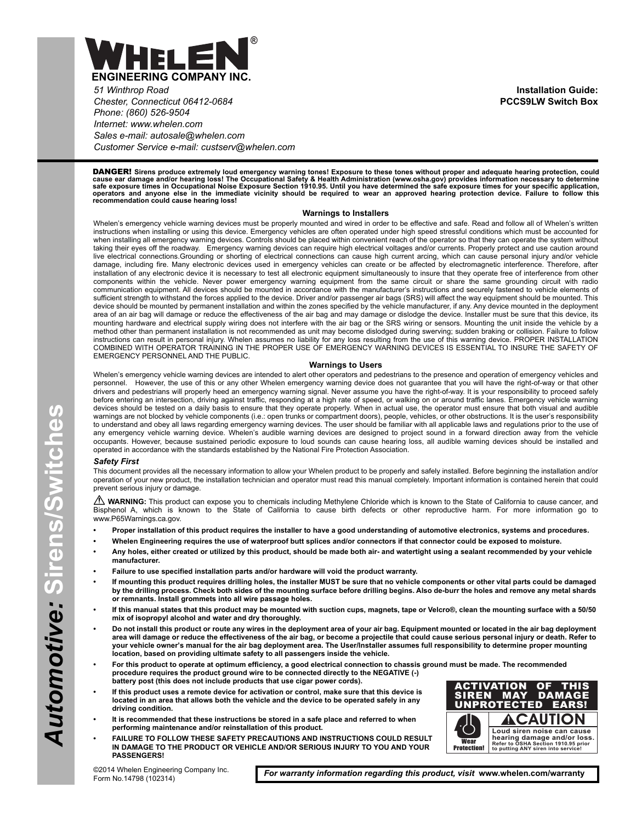

*51 Winthrop Road Chester, Connecticut 06412-0684 Phone: (860) 526-9504 Internet: www.whelen.com Sales e-mail: autosale@whelen.com Customer Service e-mail: custserv@whelen.com*

DANGER! **Sirens produce extremely loud emergency warning tones! Exposure to these tones without proper and adequate hearing protection, could** cause ear damage and/or hearing loss! The Occupational Safety & Health Administration (www.osha.gov) provides information necessary to determine<br>safe exposure times in Occupational Noise Exposure Section 1910.95. Until you

#### **Warnings to Installers**

Whelen's emergency vehicle warning devices must be properly mounted and wired in order to be effective and safe. Read and follow all of Whelen's written instructions when installing or using this device. Emergency vehicles are often operated under high speed stressful conditions which must be accounted for when installing all emergency warning devices. Controls should be placed within convenient reach of the operator so that they can operate the system without taking their eyes off the roadway. Emergency warning devices can require high electrical voltages and/or currents. Properly protect and use caution around live electrical connections.Grounding or shorting of electrical connections can cause high current arcing, which can cause personal injury and/or vehicle damage, including fire. Many electronic devices used in emergency vehicles can create or be affected by electromagnetic interference. Therefore, after installation of any electronic device it is necessary to test all electronic equipment simultaneously to insure that they operate free of interference from other components within the vehicle. Never power emergency warning equipment from the same circuit or share the same grounding circuit with radio communication equipment. All devices should be mounted in accordance with the manufacturer's instructions and securely fastened to vehicle elements of sufficient strength to withstand the forces applied to the device. Driver and/or passenger air bags (SRS) will affect the way equipment should be mounted. This device should be mounted by permanent installation and within the zones specified by the vehicle manufacturer, if any. Any device mounted in the deployment area of an air bag will damage or reduce the effectiveness of the air bag and may damage or dislodge the device. Installer must be sure that this device, its mounting hardware and electrical supply wiring does not interfere with the air bag or the SRS wiring or sensors. Mounting the unit inside the vehicle by a method other than permanent installation is not recommended as unit may become dislodged during swerving; sudden braking or collision. Failure to follow instructions can result in personal injury. Whelen assumes no liability for any loss resulting from the use of this warning device. PROPER INSTALLATION COMBINED WITH OPERATOR TRAINING IN THE PROPER USE OF EMERGENCY WARNING DEVICES IS ESSENTIAL TO INSURE THE SAFETY OF EMERGENCY PERSONNEL AND THE PUBLIC.

#### **Warnings to Users**

Whelen's emergency vehicle warning devices are intended to alert other operators and pedestrians to the presence and operation of emergency vehicles and personnel. However, the use of this or any other Whelen emergency warning device does not guarantee that you will have the right-of-way or that other drivers and pedestrians will properly heed an emergency warning signal. Never assume you have the right-of-way. It is your responsibility to proceed safely before entering an intersection, driving against traffic, responding at a high rate of speed, or walking on or around traffic lanes. Emergency vehicle warning devices should be tested on a daily basis to ensure that they operate properly. When in actual use, the operator must ensure that both visual and audible warnings are not blocked by vehicle components (i.e.: open trunks or compartment doors), people, vehicles, or other obstructions. It is the user's responsibility to understand and obey all laws regarding emergency warning devices. The user should be familiar with all applicable laws and regulations prior to the use of any emergency vehicle warning device. Whelen's audible warning devices are designed to project sound in a forward direction away from the vehicle occupants. However, because sustained periodic exposure to loud sounds can cause hearing loss, all audible warning devices should be installed and operated in accordance with the standards established by the National Fire Protection Association.

#### *Safety First*

This document provides all the necessary information to allow your Whelen product to be properly and safely installed. Before beginning the installation and/or operation of your new product, the installation technician and operator must read this manual completely. Important information is contained herein that could prevent serious injury or damage.

WARNING: This product can expose you to chemicals including Methylene Chloride which is known to the State of California to cause cancer, and Bisphenol A, which is known to the State of California to cause birth defects or other reproductive harm. For more information go to www.P65Warnings.ca.gov.

- **Proper installation of this product requires the installer to have a good understanding of automotive electronics, systems and procedures.**
- **Whelen Engineering requires the use of waterproof butt splices and/or connectors if that connector could be exposed to moisture.**
- **Any holes, either created or utilized by this product, should be made both air- and watertight using a sealant recommended by your vehicle manufacturer.**
- **Failure to use specified installation parts and/or hardware will void the product warranty.**
- **If mounting this product requires drilling holes, the installer MUST be sure that no vehicle components or other vital parts could be damaged by the drilling process. Check both sides of the mounting surface before drilling begins. Also de-burr the holes and remove any metal shards or remnants. Install grommets into all wire passage holes.**
- **If this manual states that this product may be mounted with suction cups, magnets, tape or Velcro®, clean the mounting surface with a 50/50 mix of isopropyl alcohol and water and dry thoroughly.**
- **Do not install this product or route any wires in the deployment area of your air bag. Equipment mounted or located in the air bag deployment area will damage or reduce the effectiveness of the air bag, or become a projectile that could cause serious personal injury or death. Refer to your vehicle owner's manual for the air bag deployment area. The User/Installer assumes full responsibility to determine proper mounting location, based on providing ultimate safety to all passengers inside the vehicle.**
- **For this product to operate at optimum efficiency, a good electrical connection to chassis ground must be made. The recommended procedure requires the product ground wire to be connected directly to the NEGATIVE (-) battery post (this does not include products that use cigar power cords).**
- **If this product uses a remote device for activation or control, make sure that this device is located in an area that allows both the vehicle and the device to be operated safely in any driving condition.**
- **It is recommended that these instructions be stored in a safe place and referred to when performing maintenance and/or reinstallation of this product.**
- **FAILURE TO FOLLOW THESE SAFETY PRECAUTIONS AND INSTRUCTIONS COULD RESULT IN DAMAGE TO THE PRODUCT OR VEHICLE AND/OR SERIOUS INJURY TO YOU AND YOUR PASSENGERS!**



©2014 Whelen Engineering Company Inc. Form No.14798 (102314)

*For warranty information regarding this product, visit* **www.whelen.com/warranty**

**Installation Guide: PCCS9LW Switch Box**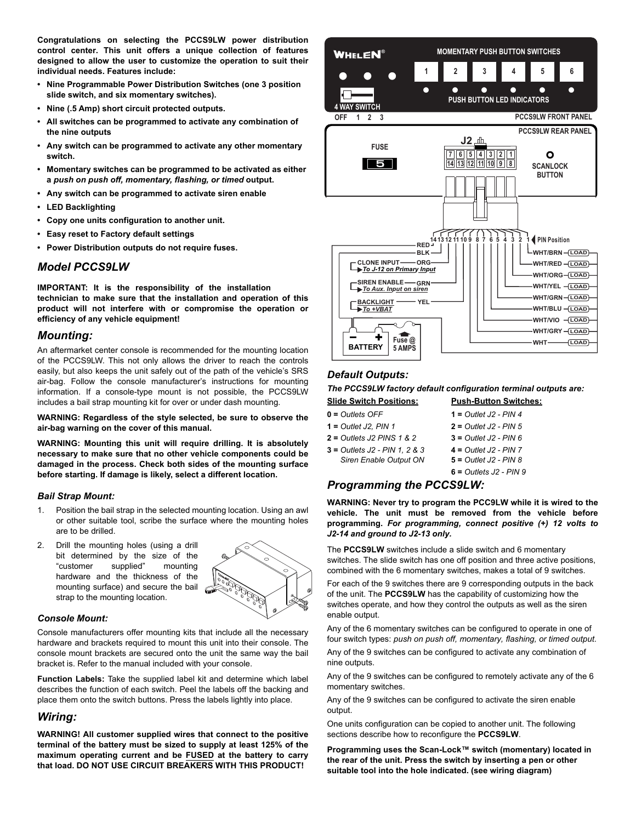**Congratulations on selecting the PCCS9LW power distribution control center. This unit offers a unique collection of features designed to allow the user to customize the operation to suit their individual needs. Features include:**

- **Nine Programmable Power Distribution Switches (one 3 position slide switch, and six momentary switches).**
- **Nine (.5 Amp) short circuit protected outputs.**
- **All switches can be programmed to activate any combination of the nine outputs**
- **Any switch can be programmed to activate any other momentary switch.**
- **Momentary switches can be programmed to be activated as either a** *push on push off, momentary, flashing, or timed* **output.**
- **Any switch can be programmed to activate siren enable**
- **LED Backlighting**
- **Copy one units configuration to another unit.**
- **Easy reset to Factory default settings**
- **Power Distribution outputs do not require fuses.**

#### *Model PCCS9LW*

**IMPORTANT: It is the responsibility of the installation technician to make sure that the installation and operation of this product will not interfere with or compromise the operation or efficiency of any vehicle equipment!**

### *Mounting:*

An aftermarket center console is recommended for the mounting location of the PCCS9LW. This not only allows the driver to reach the controls easily, but also keeps the unit safely out of the path of the vehicle's SRS air-bag. Follow the console manufacturer's instructions for mounting information. If a console-type mount is not possible, the PCCS9LW includes a bail strap mounting kit for over or under dash mounting.

**WARNING: Regardless of the style selected, be sure to observe the air-bag warning on the cover of this manual.**

**WARNING: Mounting this unit will require drilling. It is absolutely necessary to make sure that no other vehicle components could be damaged in the process. Check both sides of the mounting surface before starting. If damage is likely, select a different location.**

#### *Bail Strap Mount:*

- 1. Position the bail strap in the selected mounting location. Using an awl or other suitable tool, scribe the surface where the mounting holes are to be drilled.
- 2. Drill the mounting holes (using a drill bit determined by the size of the "customer supplied" mounting hardware and the thickness of the mounting surface) and secure the bail strap to the mounting location.



#### *Console Mount:*

Console manufacturers offer mounting kits that include all the necessary hardware and brackets required to mount this unit into their console. The console mount brackets are secured onto the unit the same way the bail bracket is. Refer to the manual included with your console.

**Function Labels:** Take the supplied label kit and determine which label describes the function of each switch. Peel the labels off the backing and place them onto the switch buttons. Press the labels lightly into place.

## *Wiring:*

**WARNING! All customer supplied wires that connect to the positive terminal of the battery must be sized to supply at least 125% of the maximum operating current and be FUSED at the battery to carry that load. DO NOT USE CIRCUIT BREAKERS WITH THIS PRODUCT!**



# *Default Outputs:*

*The PCCS9LW factory default configuration terminal outputs are:*

- **Slide Switch Positions: Push-Button Switches: 0 =** *Outlets OFF* **1 =** *Outlet J2 - PIN 4*
- **1 =** *Outlet J2, PIN 1* **2 =** *Outlet J2 PIN 5*
- **2 =** *Outlets J2 PINS 1 & 2* **3 =** *Outlet J2 PIN 6*
- **3 =** *Outlets J2 PIN 1, 2 & 3* **4 =** *Outlet J2 PIN 7*
- **3 =** *Siren Enable Output ON* **5 =** *Outlet J2 PIN 8*
- **3 = Factory Default:3 = 6 =** *Outlets J2 PIN 9*

# *Programming the PCCS9LW:*

**WARNING: Never try to program the PCC9LW while it is wired to the vehicle. The unit must be removed from the vehicle before programming.** *For programming, connect positive (+) 12 volts to J2-14 and ground to J2-13 only.*

The **PCCS9LW** switches include a slide switch and 6 momentary switches. The slide switch has one off position and three active positions, combined with the 6 momentary switches, makes a total of 9 switches.

For each of the 9 switches there are 9 corresponding outputs in the back of the unit. The **PCCS9LW** has the capability of customizing how the switches operate, and how they control the outputs as well as the siren enable output.

Any of the 6 momentary switches can be configured to operate in one of four switch types: *push on push off, momentary, flashing, or timed output*.

Any of the 9 switches can be configured to activate any combination of nine outputs.

Any of the 9 switches can be configured to remotely activate any of the 6 momentary switches.

Any of the 9 switches can be configured to activate the siren enable output.

One units configuration can be copied to another unit. The following sections describe how to reconfigure the **PCCS9LW**.

**Programming uses the Scan-Lock™ switch (momentary) located in the rear of the unit. Press the switch by inserting a pen or other suitable tool into the hole indicated. (see wiring diagram)**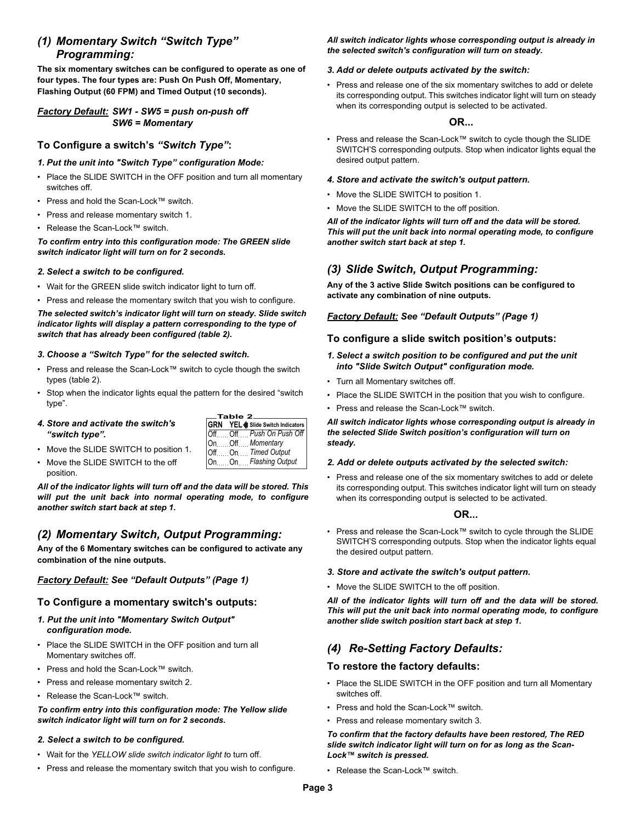# *(1) Momentary Switch "Switch Type" Programming:*

**The six momentary switches can be configured to operate as one of four types. The four types are: Push On Push Off, Momentary, Flashing Output (60 FPM) and Timed Output (10 seconds).**

# *Factory Default: SW1 - SW5 = push on-push off SW6 = Momentary*

# **To Configure a switch's** *"Switch Type"***:**

## *1. Put the unit into "Switch Type" configuration Mode:*

- Place the SLIDE SWITCH in the OFF position and turn all momentary switches off.
- Press and hold the Scan-Lock™ switch.
- Press and release momentary switch 1.
- Release the Scan-Lock™ switch.

*To confirm entry into this configuration mode: The GREEN slide switch indicator light will turn on for 2 seconds.*

## *2. Select a switch to be configured.*

- Wait for the GREEN slide switch indicator light to turn off.
- Press and release the momentary switch that you wish to configure.

## *The selected switch's indicator light will turn on steady. Slide switch indicator lights will display a pattern corresponding to the type of switch that has already been configured (table 2).*

## *3. Choose a "Switch Type" for the selected switch.*

- Press and release the Scan-Lock™ switch to cycle though the switch types (table 2).
- Stop when the indicator lights equal the pattern for the desired "switch type".

## *4. Store and activate the switch's "switch type".*

| $\_$ Table 2 $\_$ |  |                                 |
|-------------------|--|---------------------------------|
|                   |  | GRN YEL Slide Switch Indicators |
|                   |  | OffOff Push On Push Off丨        |
|                   |  | OnOffMomentary                  |
|                   |  | OffOnTimed Output               |
|                   |  | On  On Flashing Output          |

- Move the SLIDE SWITCH to position 1.
- Move the SLIDE SWITCH to the off position.

*All of the indicator lights will turn off and the data will be stored. This will put the unit back into normal operating mode, to configure another switch start back at step 1.*

# *(2) Momentary Switch, Output Programming:*

**Any of the 6 Momentary switches can be configured to activate any combination of the nine outputs.**

# *Factory Default: See "Default Outputs" (Page 1)*

# **To Configure a momentary switch's outputs:**

- *1. Put the unit into "Momentary Switch Output" configuration mode.*
- Place the SLIDE SWITCH in the OFF position and turn all Momentary switches off.
- Press and hold the Scan-Lock™ switch.
- Press and release momentary switch 2.
- Release the Scan-Lock™ switch.

## *To confirm entry into this configuration mode: The Yellow slide switch indicator light will turn on for 2 seconds.*

# *2. Select a switch to be configured.*

- Wait for the *YELLOW slide switch indicator light t*o turn off.
- Press and release the momentary switch that you wish to configure.

#### *All switch indicator lights whose corresponding output is already in the selected switch's configuration will turn on steady.*

## *3. Add or delete outputs activated by the switch:*

• Press and release one of the six momentary switches to add or delete its corresponding output. This switches indicator light will turn on steady when its corresponding output is selected to be activated.

# **OR...**

• Press and release the Scan-Lock™ switch to cycle though the SLIDE SWITCH'S corresponding outputs. Stop when indicator lights equal the desired output pattern.

## *4. Store and activate the switch's output pattern.*

- Move the SLIDE SWITCH to position 1.
- Move the SLIDE SWITCH to the off position.

*All of the indicator lights will turn off and the data will be stored. This will put the unit back into normal operating mode, to configure another switch start back at step 1.*

# *(3) Slide Switch, Output Programming:*

**Any of the 3 active Slide Switch positions can be configured to activate any combination of nine outputs.**

# *Factory Default: See "Default Outputs" (Page 1)*

# **To configure a slide switch position's outputs:**

- *1. Select a switch position to be configured and put the unit into "Slide Switch Output" configuration mode.*
- Turn all Momentary switches off.
- Place the SLIDE SWITCH in the position that you wish to configure.
- Press and release the Scan-Lock™ switch.

*All switch indicator lights whose corresponding output is already in the selected Slide Switch position's configuration will turn on steady.*

## *2. Add or delete outputs activated by the selected switch:*

• Press and release one of the six momentary switches to add or delete its corresponding output. This switches indicator light will turn on steady when its corresponding output is selected to be activated.

# **OR...**

• Press and release the Scan-Lock™ switch to cycle through the SLIDE SWITCH'S corresponding outputs. Stop when the indicator lights equal the desired output pattern.

## *3. Store and activate the switch's output pattern.*

• Move the SLIDE SWITCH to the off position.

*All of the indicator lights will turn off and the data will be stored. This will put the unit back into normal operating mode, to configure another slide switch position start back at step 1.*

# *(4) Re-Setting Factory Defaults:*

# **To restore the factory defaults:**

- Place the SLIDE SWITCH in the OFF position and turn all Momentary switches off.
- Press and hold the Scan-Lock™ switch.
- Press and release momentary switch 3.

*To confirm that the factory defaults have been restored, The RED slide switch indicator light will turn on for as long as the Scan-Lock™ switch is pressed.*

• Release the Scan-Lock™ switch.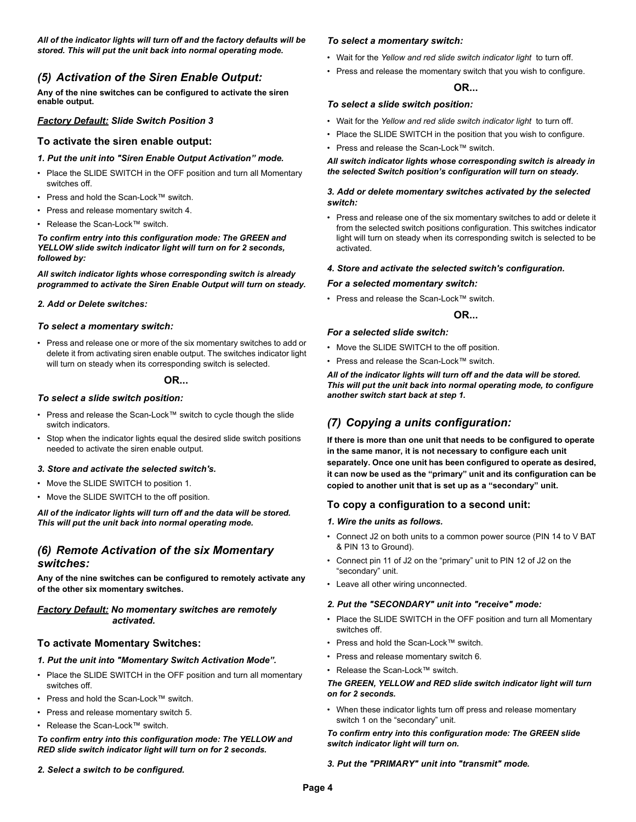*All of the indicator lights will turn off and the factory defaults will be stored. This will put the unit back into normal operating mode.*

# *(5) Activation of the Siren Enable Output:*

**Any of the nine switches can be configured to activate the siren enable output.**

## *Factory Default: Slide Switch Position 3*

### **To activate the siren enable output:**

- *1. Put the unit into "Siren Enable Output Activation" mode.*
- Place the SLIDE SWITCH in the OFF position and turn all Momentary switches off.
- Press and hold the Scan-Lock™ switch.
- Press and release momentary switch 4.
- Release the Scan-Lock™ switch.

*To confirm entry into this configuration mode: The GREEN and YELLOW slide switch indicator light will turn on for 2 seconds, followed by:*

*All switch indicator lights whose corresponding switch is already programmed to activate the Siren Enable Output will turn on steady.*

#### *2. Add or Delete switches:*

#### *To select a momentary switch:*

• Press and release one or more of the six momentary switches to add or delete it from activating siren enable output. The switches indicator light will turn on steady when its corresponding switch is selected.

#### **OR...**

#### *To select a slide switch position:*

- Press and release the Scan-Lock™ switch to cycle though the slide switch indicators.
- Stop when the indicator lights equal the desired slide switch positions needed to activate the siren enable output.

#### *3. Store and activate the selected switch's.*

- Move the SLIDE SWITCH to position 1.
- Move the SLIDE SWITCH to the off position.

*All of the indicator lights will turn off and the data will be stored. This will put the unit back into normal operating mode.*

# *(6) Remote Activation of the six Momentary switches:*

**Any of the nine switches can be configured to remotely activate any of the other six momentary switches.**

#### *Factory Default: No momentary switches are remotely activated.*

## **To activate Momentary Switches:**

#### *1. Put the unit into "Momentary Switch Activation Mode".*

- Place the SLIDE SWITCH in the OFF position and turn all momentary switches off.
- Press and hold the Scan-Lock™ switch.
- Press and release momentary switch 5.
- Release the Scan-Lock™ switch.

*To confirm entry into this configuration mode: The YELLOW and RED slide switch indicator light will turn on for 2 seconds.*

#### *2. Select a switch to be configured.*

#### *To select a momentary switch:*

- Wait for the *Yellow and red slide switch indicator light* to turn off.
- Press and release the momentary switch that you wish to configure.

# **OR...**

#### *To select a slide switch position:*

- Wait for the *Yellow and red slide switch indicator light* to turn off.
- Place the SLIDE SWITCH in the position that you wish to configure.
- Press and release the Scan-Lock™ switch.

*All switch indicator lights whose corresponding switch is already in the selected Switch position's configuration will turn on steady.*

#### *3. Add or delete momentary switches activated by the selected switch:*

• Press and release one of the six momentary switches to add or delete it from the selected switch positions configuration. This switches indicator light will turn on steady when its corresponding switch is selected to be activated.

#### *4. Store and activate the selected switch's configuration.*

#### *For a selected momentary switch:*

• Press and release the Scan-Lock™ switch.

### **OR...**

#### *For a selected slide switch:*

- Move the SLIDE SWITCH to the off position.
- Press and release the Scan-Lock™ switch.

*All of the indicator lights will turn off and the data will be stored. This will put the unit back into normal operating mode, to configure another switch start back at step 1.*

# *(7) Copying a units configuration:*

**If there is more than one unit that needs to be configured to operate in the same manor, it is not necessary to configure each unit separately. Once one unit has been configured to operate as desired, it can now be used as the "primary" unit and its configuration can be copied to another unit that is set up as a "secondary" unit.**

## **To copy a configuration to a second unit:**

#### *1. Wire the units as follows.*

- Connect J2 on both units to a common power source (PIN 14 to V BAT & PIN 13 to Ground).
- Connect pin 11 of J2 on the "primary" unit to PIN 12 of J2 on the "secondary" unit.
- Leave all other wiring unconnected.

#### *2. Put the "SECONDARY" unit into "receive" mode:*

- Place the SLIDE SWITCH in the OFF position and turn all Momentary switches off.
- Press and hold the Scan-Lock™ switch.
- Press and release momentary switch 6.
- Release the Scan-Lock™ switch.

### *The GREEN, YELLOW and RED slide switch indicator light will turn on for 2 seconds.*

• When these indicator lights turn off press and release momentary switch 1 on the "secondary" unit.

#### *To confirm entry into this configuration mode: The GREEN slide switch indicator light will turn on.*

#### *3. Put the "PRIMARY" unit into "transmit" mode.*